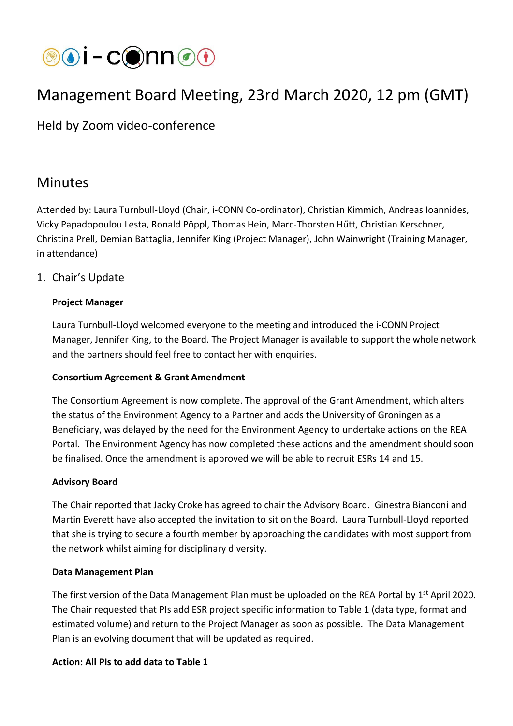

# Management Board Meeting, 23rd March 2020, 12 pm (GMT)

Held by Zoom video-conference

## Minutes

Attended by: Laura Turnbull-Lloyd (Chair, i-CONN Co-ordinator), Christian Kimmich, Andreas Ioannides, Vicky Papadopoulou Lesta, Ronald Pöppl, Thomas Hein, Marc-Thorsten Hűtt, Christian Kerschner, Christina Prell, Demian Battaglia, Jennifer King (Project Manager), John Wainwright (Training Manager, in attendance)

## 1. Chair's Update

## **Project Manager**

Laura Turnbull-Lloyd welcomed everyone to the meeting and introduced the i-CONN Project Manager, Jennifer King, to the Board. The Project Manager is available to support the whole network and the partners should feel free to contact her with enquiries.

## **Consortium Agreement & Grant Amendment**

The Consortium Agreement is now complete. The approval of the Grant Amendment, which alters the status of the Environment Agency to a Partner and adds the University of Groningen as a Beneficiary, was delayed by the need for the Environment Agency to undertake actions on the REA Portal. The Environment Agency has now completed these actions and the amendment should soon be finalised. Once the amendment is approved we will be able to recruit ESRs 14 and 15.

## **Advisory Board**

The Chair reported that Jacky Croke has agreed to chair the Advisory Board. Ginestra Bianconi and Martin Everett have also accepted the invitation to sit on the Board. Laura Turnbull-Lloyd reported that she is trying to secure a fourth member by approaching the candidates with most support from the network whilst aiming for disciplinary diversity.

## **Data Management Plan**

The first version of the Data Management Plan must be uploaded on the REA Portal by 1<sup>st</sup> April 2020. The Chair requested that PIs add ESR project specific information to Table 1 (data type, format and estimated volume) and return to the Project Manager as soon as possible. The Data Management Plan is an evolving document that will be updated as required.

## **Action: All PIs to add data to Table 1**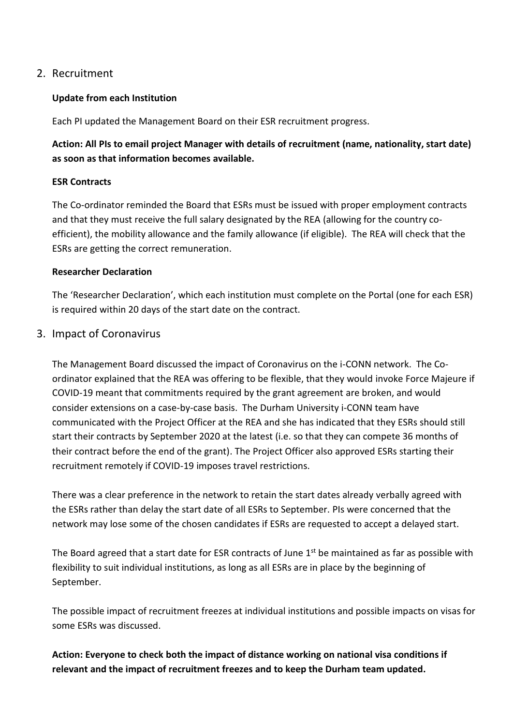## 2. Recruitment

#### **Update from each Institution**

Each PI updated the Management Board on their ESR recruitment progress.

## **Action: All PIs to email project Manager with details of recruitment (name, nationality, start date) as soon as that information becomes available.**

## **ESR Contracts**

The Co-ordinator reminded the Board that ESRs must be issued with proper employment contracts and that they must receive the full salary designated by the REA (allowing for the country coefficient), the mobility allowance and the family allowance (if eligible). The REA will check that the ESRs are getting the correct remuneration.

#### **Researcher Declaration**

The 'Researcher Declaration', which each institution must complete on the Portal (one for each ESR) is required within 20 days of the start date on the contract.

## 3. Impact of Coronavirus

The Management Board discussed the impact of Coronavirus on the i-CONN network. The Coordinator explained that the REA was offering to be flexible, that they would invoke Force Majeure if COVID-19 meant that commitments required by the grant agreement are broken, and would consider extensions on a case-by-case basis. The Durham University i-CONN team have communicated with the Project Officer at the REA and she has indicated that they ESRs should still start their contracts by September 2020 at the latest (i.e. so that they can compete 36 months of their contract before the end of the grant). The Project Officer also approved ESRs starting their recruitment remotely if COVID-19 imposes travel restrictions.

There was a clear preference in the network to retain the start dates already verbally agreed with the ESRs rather than delay the start date of all ESRs to September. PIs were concerned that the network may lose some of the chosen candidates if ESRs are requested to accept a delayed start.

The Board agreed that a start date for ESR contracts of June  $1<sup>st</sup>$  be maintained as far as possible with flexibility to suit individual institutions, as long as all ESRs are in place by the beginning of September.

The possible impact of recruitment freezes at individual institutions and possible impacts on visas for some ESRs was discussed.

**Action: Everyone to check both the impact of distance working on national visa conditions if relevant and the impact of recruitment freezes and to keep the Durham team updated.**